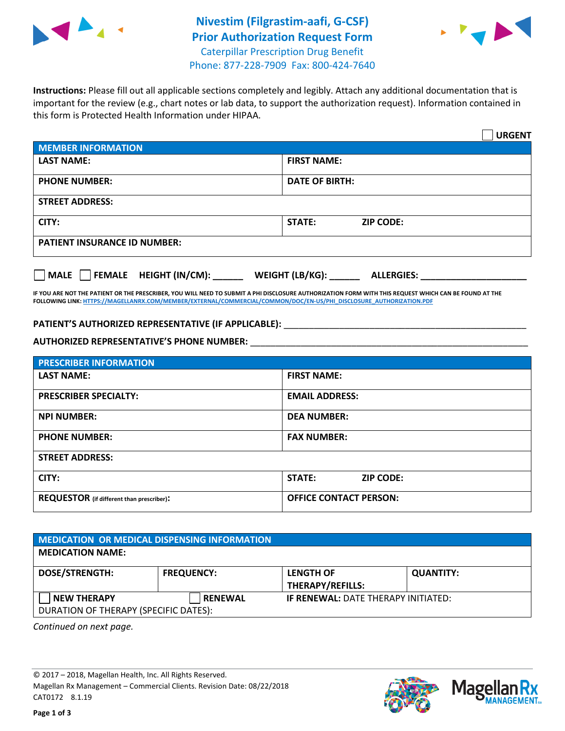



**Instructions:** Please fill out all applicable sections completely and legibly. Attach any additional documentation that is important for the review (e.g., chart notes or lab data, to support the authorization request). Information contained in this form is Protected Health Information under HIPAA.

|                                              | <b>URGENT</b>                        |  |  |  |
|----------------------------------------------|--------------------------------------|--|--|--|
| <b>MEMBER INFORMATION</b>                    |                                      |  |  |  |
| <b>LAST NAME:</b>                            | <b>FIRST NAME:</b>                   |  |  |  |
| <b>PHONE NUMBER:</b>                         | <b>DATE OF BIRTH:</b>                |  |  |  |
| <b>STREET ADDRESS:</b>                       |                                      |  |  |  |
| CITY:                                        | STATE:<br><b>ZIP CODE:</b>           |  |  |  |
| <b>PATIENT INSURANCE ID NUMBER:</b>          |                                      |  |  |  |
| $\Box$ FEMALE HEIGHT (IN/CM):<br><b>MALE</b> | WEIGHT (LB/KG):<br><b>ALLERGIES:</b> |  |  |  |

**IF YOU ARE NOT THE PATIENT OR THE PRESCRIBER, YOU WILL NEED TO SUBMIT A PHI DISCLOSURE AUTHORIZATION FORM WITH THIS REQUEST WHICH CAN BE FOUND AT THE FOLLOWING LINK[: HTTPS://MAGELLANRX.COM/MEMBER/EXTERNAL/COMMERCIAL/COMMON/DOC/EN-US/PHI\\_DISCLOSURE\\_AUTHORIZATION.PDF](https://magellanrx.com/member/external/commercial/common/doc/en-us/PHI_Disclosure_Authorization.pdf)**

PATIENT'S AUTHORIZED REPRESENTATIVE (IF APPLICABLE): \_\_\_\_\_\_\_\_\_\_\_\_\_\_\_\_\_\_\_\_\_\_\_\_\_\_\_\_

**AUTHORIZED REPRESENTATIVE'S PHONE NUMBER:** \_\_\_\_\_\_\_\_\_\_\_\_\_\_\_\_\_\_\_\_\_\_\_\_\_\_\_\_\_\_\_\_\_\_\_\_\_\_\_\_\_\_\_\_\_\_\_\_\_\_\_\_\_\_\_

| <b>PRESCRIBER INFORMATION</b>             |                               |  |  |  |
|-------------------------------------------|-------------------------------|--|--|--|
| <b>LAST NAME:</b>                         | <b>FIRST NAME:</b>            |  |  |  |
| <b>PRESCRIBER SPECIALTY:</b>              | <b>EMAIL ADDRESS:</b>         |  |  |  |
| <b>NPI NUMBER:</b>                        | <b>DEA NUMBER:</b>            |  |  |  |
| <b>PHONE NUMBER:</b>                      | <b>FAX NUMBER:</b>            |  |  |  |
| <b>STREET ADDRESS:</b>                    |                               |  |  |  |
| CITY:                                     | STATE:<br><b>ZIP CODE:</b>    |  |  |  |
| REQUESTOR (if different than prescriber): | <b>OFFICE CONTACT PERSON:</b> |  |  |  |

| <b>MEDICATION OR MEDICAL DISPENSING INFORMATION</b> |                   |                                             |                  |  |  |
|-----------------------------------------------------|-------------------|---------------------------------------------|------------------|--|--|
| <b>MEDICATION NAME:</b>                             |                   |                                             |                  |  |  |
| <b>DOSE/STRENGTH:</b>                               | <b>FREQUENCY:</b> | <b>LENGTH OF</b><br><b>THERAPY/REFILLS:</b> | <b>QUANTITY:</b> |  |  |
| <b>NEW THERAPY</b>                                  | <b>RENEWAL</b>    | <b>IF RENEWAL: DATE THERAPY INITIATED:</b>  |                  |  |  |
| DURATION OF THERAPY (SPECIFIC DATES):               |                   |                                             |                  |  |  |

*Continued on next page.*

© 2017 – 2018, Magellan Health, Inc. All Rights Reserved. Magellan Rx Management – Commercial Clients. Revision Date: 08/22/2018 CAT0172 8.1.19



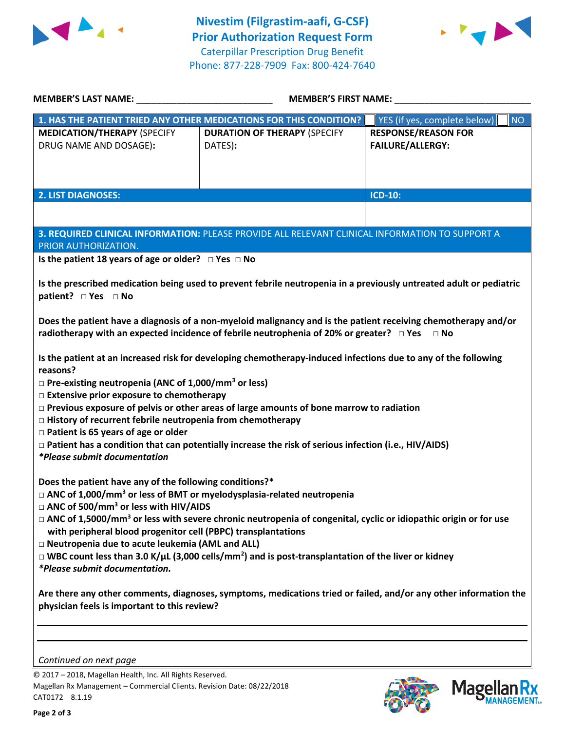



| <b>MEMBER'S LAST NAME:</b>                                                                                                                                                                                                                                                                                                                                                                                                                                                                                                                                                                                                                                                                                                                                                                                                                                                                                                                                                                              | <b>MEMBER'S FIRST NAME:</b>                                                                     |                                                       |  |  |  |
|---------------------------------------------------------------------------------------------------------------------------------------------------------------------------------------------------------------------------------------------------------------------------------------------------------------------------------------------------------------------------------------------------------------------------------------------------------------------------------------------------------------------------------------------------------------------------------------------------------------------------------------------------------------------------------------------------------------------------------------------------------------------------------------------------------------------------------------------------------------------------------------------------------------------------------------------------------------------------------------------------------|-------------------------------------------------------------------------------------------------|-------------------------------------------------------|--|--|--|
|                                                                                                                                                                                                                                                                                                                                                                                                                                                                                                                                                                                                                                                                                                                                                                                                                                                                                                                                                                                                         | 1. HAS THE PATIENT TRIED ANY OTHER MEDICATIONS FOR THIS CONDITION?                              | <b>NO</b><br>YES (if yes, complete below)             |  |  |  |
| <b>MEDICATION/THERAPY (SPECIFY</b><br>DRUG NAME AND DOSAGE):                                                                                                                                                                                                                                                                                                                                                                                                                                                                                                                                                                                                                                                                                                                                                                                                                                                                                                                                            | <b>DURATION OF THERAPY (SPECIFY</b><br>DATES):                                                  | <b>RESPONSE/REASON FOR</b><br><b>FAILURE/ALLERGY:</b> |  |  |  |
| <b>2. LIST DIAGNOSES:</b>                                                                                                                                                                                                                                                                                                                                                                                                                                                                                                                                                                                                                                                                                                                                                                                                                                                                                                                                                                               |                                                                                                 | ICD-10:                                               |  |  |  |
|                                                                                                                                                                                                                                                                                                                                                                                                                                                                                                                                                                                                                                                                                                                                                                                                                                                                                                                                                                                                         |                                                                                                 |                                                       |  |  |  |
| PRIOR AUTHORIZATION.                                                                                                                                                                                                                                                                                                                                                                                                                                                                                                                                                                                                                                                                                                                                                                                                                                                                                                                                                                                    | 3. REQUIRED CLINICAL INFORMATION: PLEASE PROVIDE ALL RELEVANT CLINICAL INFORMATION TO SUPPORT A |                                                       |  |  |  |
| Is the patient 18 years of age or older? $\Box$ Yes $\Box$ No                                                                                                                                                                                                                                                                                                                                                                                                                                                                                                                                                                                                                                                                                                                                                                                                                                                                                                                                           |                                                                                                 |                                                       |  |  |  |
| Is the prescribed medication being used to prevent febrile neutropenia in a previously untreated adult or pediatric<br>patient? □ Yes □ No<br>Does the patient have a diagnosis of a non-myeloid malignancy and is the patient receiving chemotherapy and/or<br>radiotherapy with an expected incidence of febrile neutrophenia of 20% or greater? $\square$ Yes<br>$\Box$ No<br>Is the patient at an increased risk for developing chemotherapy-induced infections due to any of the following<br>reasons?<br>$\Box$ Pre-existing neutropenia (ANC of 1,000/mm <sup>3</sup> or less)<br>□ Extensive prior exposure to chemotherapy<br>$\Box$ Previous exposure of pelvis or other areas of large amounts of bone marrow to radiation<br>$\Box$ History of recurrent febrile neutropenia from chemotherapy<br>$\Box$ Patient is 65 years of age or older<br>$\Box$ Patient has a condition that can potentially increase the risk of serious infection (i.e., HIV/AIDS)<br>*Please submit documentation |                                                                                                 |                                                       |  |  |  |
| Does the patient have any of the following conditions?*<br>$\Box$ ANC of 1,000/mm <sup>3</sup> or less of BMT or myelodysplasia-related neutropenia<br>□ ANC of 500/mm <sup>3</sup> or less with HIV/AIDS<br>$\Box$ ANC of 1,5000/mm <sup>3</sup> or less with severe chronic neutropenia of congenital, cyclic or idiopathic origin or for use<br>with peripheral blood progenitor cell (PBPC) transplantations<br>□ Neutropenia due to acute leukemia (AML and ALL)<br>$\Box$ WBC count less than 3.0 K/ $\mu$ L (3,000 cells/mm <sup>2</sup> ) and is post-transplantation of the liver or kidney<br><i>*Please submit documentation.</i>                                                                                                                                                                                                                                                                                                                                                            |                                                                                                 |                                                       |  |  |  |
| Are there any other comments, diagnoses, symptoms, medications tried or failed, and/or any other information the<br>physician feels is important to this review?                                                                                                                                                                                                                                                                                                                                                                                                                                                                                                                                                                                                                                                                                                                                                                                                                                        |                                                                                                 |                                                       |  |  |  |
| Continued on next page                                                                                                                                                                                                                                                                                                                                                                                                                                                                                                                                                                                                                                                                                                                                                                                                                                                                                                                                                                                  |                                                                                                 |                                                       |  |  |  |

© 2017 – 2018, Magellan Health, Inc. All Rights Reserved. Magellan Rx Management – Commercial Clients. Revision Date: 08/22/2018 CAT0172 8.1.19